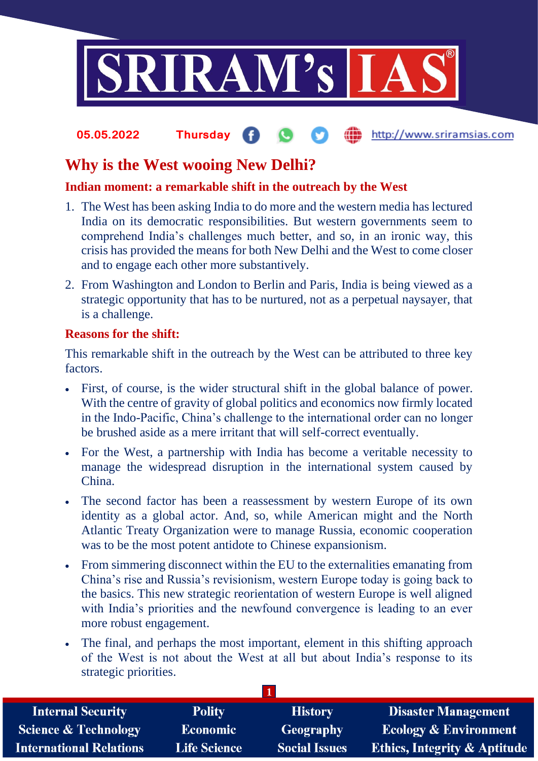

#### http://www.sriramsias.com **05.05.2022 Thursday**

# **Why is the West wooing New Delhi?**

## **Indian moment: a remarkable shift in the outreach by the West**

- 1. The West has been asking India to do more and the western media has lectured India on its democratic responsibilities. But western governments seem to comprehend India's challenges much better, and so, in an ironic way, this crisis has provided the means for both New Delhi and the West to come closer and to engage each other more substantively.
- 2. From Washington and London to Berlin and Paris, India is being viewed as a strategic opportunity that has to be nurtured, not as a perpetual naysayer, that is a challenge.

### **Reasons for the shift:**

This remarkable shift in the outreach by the West can be attributed to three key factors.

- First, of course, is the wider structural shift in the global balance of power. With the centre of gravity of global politics and economics now firmly located in the Indo-Pacific, China's challenge to the international order can no longer be brushed aside as a mere irritant that will self-correct eventually.
- For the West, a partnership with India has become a veritable necessity to manage the widespread disruption in the international system caused by China.
- The second factor has been a reassessment by western Europe of its own identity as a global actor. And, so, while American might and the North Atlantic Treaty Organization were to manage Russia, economic cooperation was to be the most potent antidote to Chinese expansionism.
- From simmering disconnect within the EU to the externalities emanating from China's rise and Russia's revisionism, western Europe today is going back to the basics. This new strategic reorientation of western Europe is well aligned with India's priorities and the newfound convergence is leading to an ever more robust engagement.
- The final, and perhaps the most important, element in this shifting approach of the West is not about the West at all but about India's response to its strategic priorities.

| <b>Internal Security</b>        | <b>Polity</b>       | <b>History</b>       | <b>Disaster Management</b>              |
|---------------------------------|---------------------|----------------------|-----------------------------------------|
| <b>Science &amp; Technology</b> | <b>Economic</b>     | <b>Geography</b>     | <b>Ecology &amp; Environment</b>        |
| <b>International Relations</b>  | <b>Life Science</b> | <b>Social Issues</b> | <b>Ethics, Integrity &amp; Aptitude</b> |